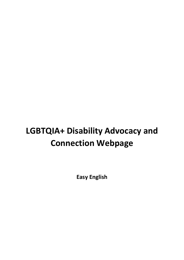# **LGBTQIA+ Disability Advocacy and Connection Webpage**

**Easy English**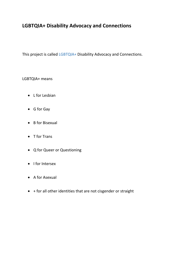## **LGBTQIA+ Disability Advocacy and Connections**

This project is called LGBTQIA+ Disability Advocacy and Connections.

LGBTQIA+ means

- L for Lesbian
- G for Gay
- B for Bisexual
- T for Trans
- Q for Queer or Questioning
- I for Intersex
- A for Asexual
- + for all other identities that are not cisgender or straight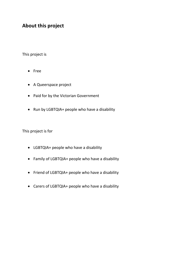### **About this project**

This project is

- Free
- A Queerspace project
- Paid for by the Victorian Government
- Run by LGBTQIA+ people who have a disability

This project is for

- LGBTQIA+ people who have a disability
- Family of LGBTQIA+ people who have a disability
- Friend of LGBTQIA+ people who have a disability
- Carers of LGBTQIA+ people who have a disability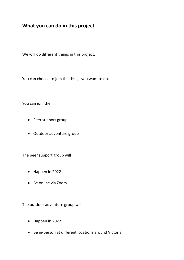#### **What you can do in this project**

We will do different things in this project.

You can choose to join the things you want to do.

You can join the

- Peer support group
- Outdoor adventure group

The peer support group will

- Happen in 2022
- Be online via Zoom

The outdoor adventure group will

- Happen in 2022
- Be in-person at different locations around Victoria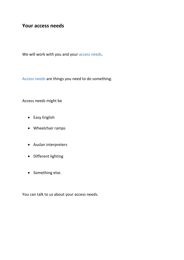#### **Your access needs**

We will work with you and your access needs.

Access needs are things you need to do something.

Access needs might be

- Easy English
- Wheelchair ramps
- Auslan interpreters
- Different lighting
- Something else.

You can talk to us about your access needs.